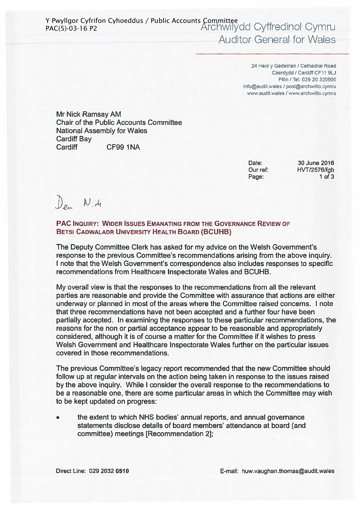24 Heol y Gadeirlan / Cathedral Road Caerdydd / Cardiff CF11 9LJ Ffön / Tel: 029 20 320500 info@audit.wales / post@archwillo.cymru www.audit.wales / www.archwillo.cymru

Mr Nick Ramsay AM Chair of the Public Accounts Committee National Assembly for Wales Cardiff Bay Cardiff CF99 1NA

> Date: Our ref: Page:

30 June 2016 HVT/2576/fgb 1 of 3

 $\n *Den*\n *N*: *A*\n$ 

PAC INQUIRY: WIDER ISSUES EMANATING FROM THE GOVERNANCE REVIEW OF BETSI CADWALADR UNIVERSITY HEALTH BOARD (BCUHB)

The Deputy Committee Clerk has asked for my advice on the Welsh Government's response to the previous Committee's recommendations arising from the above inquiry. I note that the Welsh Government's correspondence also includes responses to specific recommendations from Healthcare Inspectorate Wales and BCUHB.

My overall view is that the responses to the recommendations from all the relevant parties are reasonable and provide the Committee with assurance that actions are either underway or planned in most of the areas where the Committee raised concerns. I note that three recommendations have not been accepted and a further four have been partially accepted. In examining the responses to these particular recommendations, the reasons for the non or partial acceptance appear to be reasonable and appropriately considered, although it is of course a matter for the Committee if it wishes to press Welsh Government and Healthcare Inspectorate Wales further on the particular issues covered in those recommendations.

The previous Committee's legacy report recommended that the new Committee should follow up at regular intervals on the action being taken in response to the issues raised by the above inquiry. While I consider the overall response to the recommendations to be a reasonable one, there are some particular areas in which the Committee may wish to be kept updated on progress:

• the extent to which NHS bodies' annual reports, and annual governance statements disclose details of board members' attendance at board (and committee) meetings [Recommendation 2];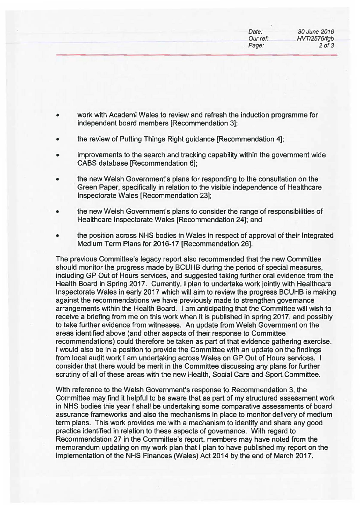| Date:    | 30 June 2016 |
|----------|--------------|
| Our ref: | HVT/2576/fgb |
| Page:    | $2$ of $3$   |
|          |              |

- work with Academi Wales to review and refresh the induction programme for independent board members [Recommendation 3];
- the review of Putting Things Right guidance [Recommendation 4];
- improvements to the search and tracking capability within the govemment wide CABS database [Recommendation 6];
- the new Welsh Government's plans for responding to the consultation on the Green Paper, specifically in relation to the visible independence of Healthcare Inspectorate Wales [Recommendation 23];
- the new Welsh Govemment's plans to consider the range of responsibilities of Healthcare Inspectorate Wales [Recommendation 24]; and
- the position across NHS bodies in Wales in respect of approval of their Integrated Medium Term Plans for 2016-17 [Recommendation 26].

The previous Committee's legacy report also recommended that the new Committee should monitor the progress made by BCUHB during the period of special measures, including GP Out of Hours services, and suggested taking further oral evidence from the Health Board in Spring 2017. Currently, I plan to undertake work jointly with Healthcare Inspectorate Wales in early 2017 which will aim to review the progress BCUHB is making against the recommendations we have previously made to strengthen govemance arrangements within the Health Board. I am anticipating that the Committee will wish to receive a briefing from me on this work when it is published in spring 2017, and possibly to take further evidence from witnesses. An update from Welsh Govemment on the areas identified above (and other aspects of their response to Committee . recommendations) could therefore be taken as part of that evidence gathering exercise. I would also be in a position to provide the Committee with an update on the findings from local audit work I am undertaking across Wales on GP Out of Hours services. I consider that there would be merit in the Committee discussing any plans for further scrutiny of all of these areas with the new Health, Social Care and Sport Committee.

With reference to the Welsh Govemment's response to Recommendation 3, the Committee may find it helpful to be aware that as part of my structured assessment work in NHS bodies this year I shall be undertaking some comparative assessments of board assurance frameworks and also the mechanisms in place to monitor delivery of medium term plans. This work provides me with a mechanism to identify and share any good practice identified in relation to these aspects of govemance. With regard to Recommendation 27 in the Committee's report, members may have noted from the memorandum updating on my work plan that I plan to have published my report on the implementation of the NHS Finances (Wales) Act 2014 by the end of March 2017.